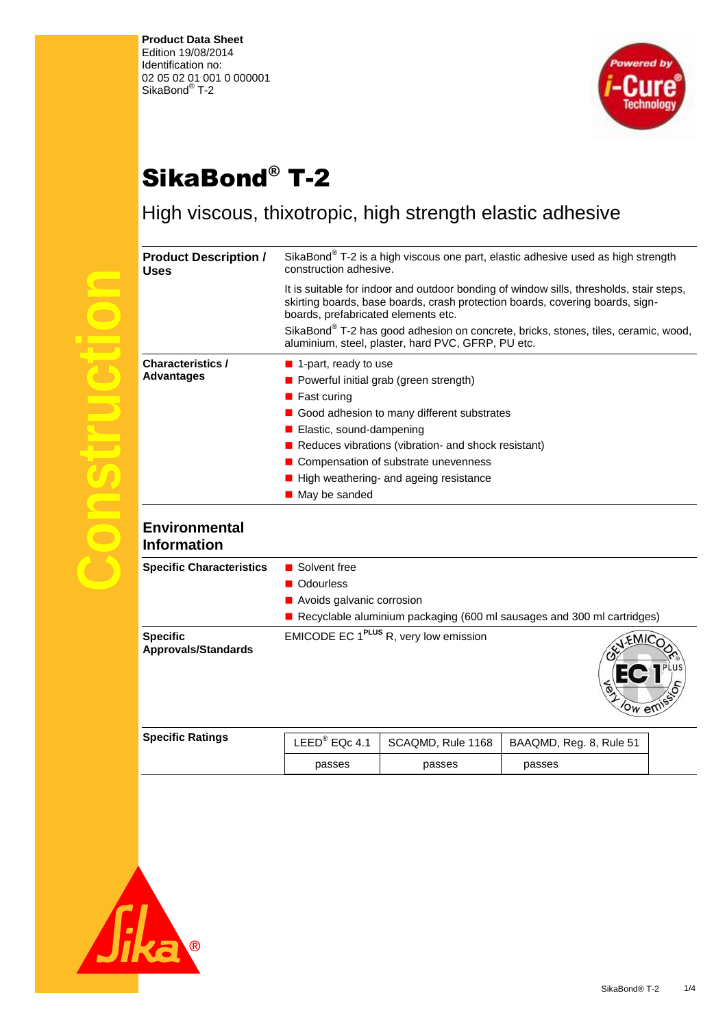**Product Data Sheet**  Edition 19/08/2014 Identification no: 02 05 02 01 001 0 000001 SikaBond<sup>®</sup> T-2



## SikaBond® T-2

High viscous, thixotropic, high strength elastic adhesive

| <b>Product Description /</b><br>Uses          | construction adhesive.                 |                                                     | SikaBond <sup>®</sup> T-2 is a high viscous one part, elastic adhesive used as high strength                                                                             |  |  |
|-----------------------------------------------|----------------------------------------|-----------------------------------------------------|--------------------------------------------------------------------------------------------------------------------------------------------------------------------------|--|--|
|                                               | boards, prefabricated elements etc.    |                                                     | It is suitable for indoor and outdoor bonding of window sills, thresholds, stair steps,<br>skirting boards, base boards, crash protection boards, covering boards, sign- |  |  |
|                                               |                                        | aluminium, steel, plaster, hard PVC, GFRP, PU etc.  | SikaBond® T-2 has good adhesion on concrete, bricks, stones, tiles, ceramic, wood,                                                                                       |  |  |
| <b>Characteristics /</b>                      | $\blacksquare$ 1-part, ready to use    |                                                     |                                                                                                                                                                          |  |  |
| <b>Advantages</b>                             | Powerful initial grab (green strength) |                                                     |                                                                                                                                                                          |  |  |
|                                               | $\blacksquare$ Fast curing             |                                                     |                                                                                                                                                                          |  |  |
|                                               |                                        | Good adhesion to many different substrates          |                                                                                                                                                                          |  |  |
|                                               | ■ Elastic, sound-dampening             |                                                     |                                                                                                                                                                          |  |  |
|                                               |                                        | Reduces vibrations (vibration- and shock resistant) |                                                                                                                                                                          |  |  |
|                                               |                                        | Compensation of substrate unevenness                |                                                                                                                                                                          |  |  |
|                                               |                                        | High weathering- and ageing resistance              |                                                                                                                                                                          |  |  |
|                                               | May be sanded                          |                                                     |                                                                                                                                                                          |  |  |
| <b>Environmental</b><br><b>Information</b>    |                                        |                                                     |                                                                                                                                                                          |  |  |
| <b>Specific Characteristics</b>               | ■ Solvent free                         |                                                     |                                                                                                                                                                          |  |  |
|                                               | ■ Odourless                            |                                                     |                                                                                                                                                                          |  |  |
|                                               | Avoids galvanic corrosion              |                                                     |                                                                                                                                                                          |  |  |
|                                               |                                        |                                                     | Recyclable aluminium packaging (600 ml sausages and 300 ml cartridges)                                                                                                   |  |  |
| <b>Specific</b><br><b>Approvals/Standards</b> |                                        | EMICODE EC 1 <sup>PLUS</sup> R, very low emission   | EMIC<br>ow en                                                                                                                                                            |  |  |
| <b>Specific Ratings</b>                       | LEED <sup>®</sup> EQc 4.1              | SCAQMD, Rule 1168                                   | BAAQMD, Reg. 8, Rule 51                                                                                                                                                  |  |  |
|                                               | passes                                 | passes                                              | passes                                                                                                                                                                   |  |  |
|                                               |                                        |                                                     |                                                                                                                                                                          |  |  |

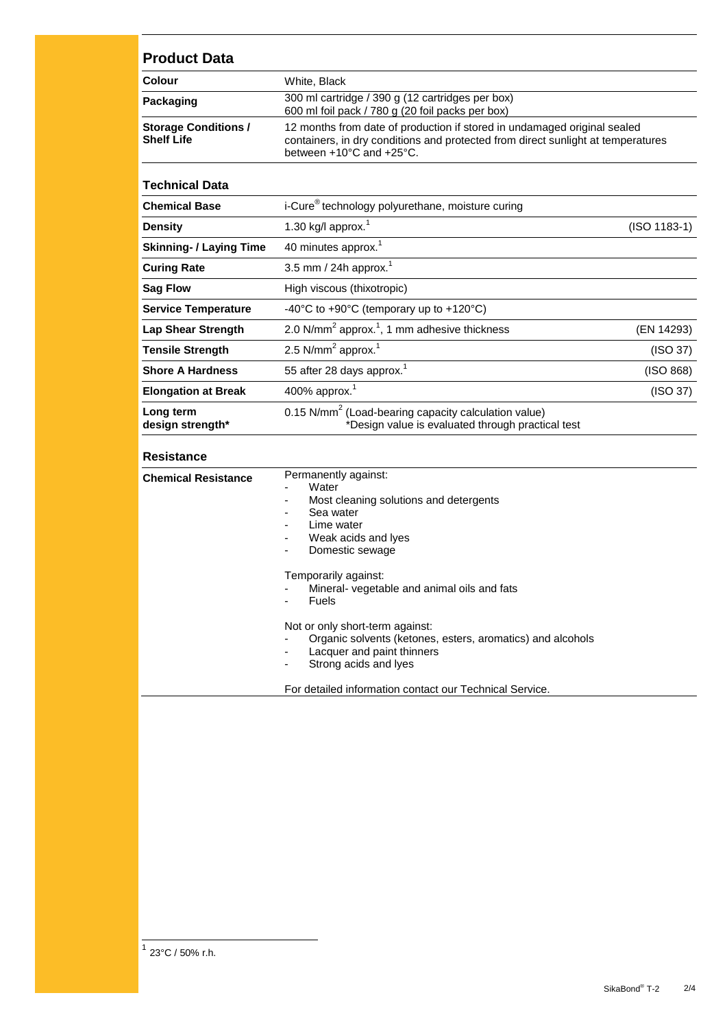| <b>Product Data</b>                              |                                                                                                                                                                                                                                                                                                                                                                                      |                |  |
|--------------------------------------------------|--------------------------------------------------------------------------------------------------------------------------------------------------------------------------------------------------------------------------------------------------------------------------------------------------------------------------------------------------------------------------------------|----------------|--|
| <b>Colour</b>                                    | White, Black                                                                                                                                                                                                                                                                                                                                                                         |                |  |
| Packaging                                        | 300 ml cartridge / 390 g (12 cartridges per box)<br>600 ml foil pack / 780 g (20 foil packs per box)                                                                                                                                                                                                                                                                                 |                |  |
| <b>Storage Conditions /</b><br><b>Shelf Life</b> | 12 months from date of production if stored in undamaged original sealed<br>containers, in dry conditions and protected from direct sunlight at temperatures<br>between +10°C and +25°C.                                                                                                                                                                                             |                |  |
| <b>Technical Data</b>                            |                                                                                                                                                                                                                                                                                                                                                                                      |                |  |
| <b>Chemical Base</b>                             | i-Cure <sup>®</sup> technology polyurethane, moisture curing                                                                                                                                                                                                                                                                                                                         |                |  |
| <b>Density</b>                                   | 1.30 kg/l approx. $^1$                                                                                                                                                                                                                                                                                                                                                               | $(ISO 1183-1)$ |  |
| <b>Skinning- / Laying Time</b>                   | 40 minutes approx. <sup>1</sup>                                                                                                                                                                                                                                                                                                                                                      |                |  |
| <b>Curing Rate</b>                               | 3.5 mm / 24h approx. $1$                                                                                                                                                                                                                                                                                                                                                             |                |  |
| <b>Sag Flow</b>                                  | High viscous (thixotropic)                                                                                                                                                                                                                                                                                                                                                           |                |  |
| <b>Service Temperature</b>                       | -40 $\degree$ C to +90 $\degree$ C (temporary up to +120 $\degree$ C)                                                                                                                                                                                                                                                                                                                |                |  |
| <b>Lap Shear Strength</b>                        | 2.0 N/mm <sup>2</sup> approx. <sup>1</sup> , 1 mm adhesive thickness                                                                                                                                                                                                                                                                                                                 | (EN 14293)     |  |
| <b>Tensile Strength</b>                          | 2.5 $N/mm2$ approx. <sup>1</sup>                                                                                                                                                                                                                                                                                                                                                     | (ISO 37)       |  |
| <b>Shore A Hardness</b>                          | 55 after 28 days approx. <sup>1</sup>                                                                                                                                                                                                                                                                                                                                                | (ISO 868)      |  |
| <b>Elongation at Break</b>                       | 400% approx. <sup>1</sup>                                                                                                                                                                                                                                                                                                                                                            | (ISO 37)       |  |
| Long term<br>design strength*                    | 0.15 N/mm <sup>2</sup> (Load-bearing capacity calculation value)<br>*Design value is evaluated through practical test                                                                                                                                                                                                                                                                |                |  |
| <b>Resistance</b>                                |                                                                                                                                                                                                                                                                                                                                                                                      |                |  |
| <b>Chemical Resistance</b>                       | Permanently against:<br>Water<br>Most cleaning solutions and detergents<br>Sea water<br>Lime water<br>Weak acids and lyes<br>Domestic sewage<br>Temporarily against:<br>Mineral- vegetable and animal oils and fats<br>Fuels<br>Not or only short-term against:<br>Organic solvents (ketones, esters, aromatics) and alcohols<br>Lacquer and paint thinners<br>Strong acids and lyes |                |  |
|                                                  | For detailed information contact our Technical Service.                                                                                                                                                                                                                                                                                                                              |                |  |

 $\frac{1}{1}$  23°C / 50% r.h.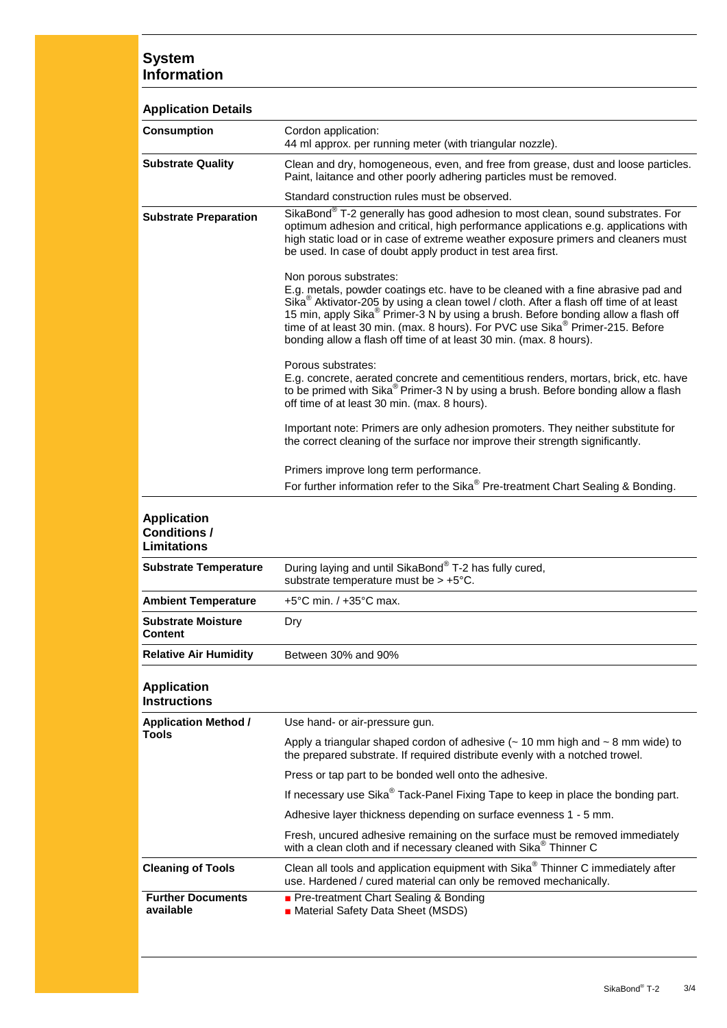## **System Information**

| <b>Application Details</b>                                      |                                                                                                                                                                                                                                                                                                                                                                                                                                                                           |  |  |
|-----------------------------------------------------------------|---------------------------------------------------------------------------------------------------------------------------------------------------------------------------------------------------------------------------------------------------------------------------------------------------------------------------------------------------------------------------------------------------------------------------------------------------------------------------|--|--|
| <b>Consumption</b>                                              | Cordon application:<br>44 ml approx. per running meter (with triangular nozzle).                                                                                                                                                                                                                                                                                                                                                                                          |  |  |
| <b>Substrate Quality</b>                                        | Clean and dry, homogeneous, even, and free from grease, dust and loose particles.<br>Paint, laitance and other poorly adhering particles must be removed.                                                                                                                                                                                                                                                                                                                 |  |  |
|                                                                 | Standard construction rules must be observed.                                                                                                                                                                                                                                                                                                                                                                                                                             |  |  |
| <b>Substrate Preparation</b>                                    | SikaBond® T-2 generally has good adhesion to most clean, sound substrates. For<br>optimum adhesion and critical, high performance applications e.g. applications with<br>high static load or in case of extreme weather exposure primers and cleaners must<br>be used. In case of doubt apply product in test area first.                                                                                                                                                 |  |  |
|                                                                 | Non porous substrates:<br>E.g. metals, powder coatings etc. have to be cleaned with a fine abrasive pad and<br>Sika <sup>®</sup> Aktivator-205 by using a clean towel / cloth. After a flash off time of at least<br>15 min, apply Sika <sup>®</sup> Primer-3 N by using a brush. Before bonding allow a flash off<br>time of at least 30 min. (max. 8 hours). For PVC use Sika® Primer-215. Before<br>bonding allow a flash off time of at least 30 min. (max. 8 hours). |  |  |
|                                                                 | Porous substrates:<br>E.g. concrete, aerated concrete and cementitious renders, mortars, brick, etc. have<br>to be primed with Sika® Primer-3 N by using a brush. Before bonding allow a flash<br>off time of at least 30 min. (max. 8 hours).                                                                                                                                                                                                                            |  |  |
|                                                                 | Important note: Primers are only adhesion promoters. They neither substitute for<br>the correct cleaning of the surface nor improve their strength significantly.                                                                                                                                                                                                                                                                                                         |  |  |
|                                                                 | Primers improve long term performance.                                                                                                                                                                                                                                                                                                                                                                                                                                    |  |  |
|                                                                 | For further information refer to the Sika® Pre-treatment Chart Sealing & Bonding.                                                                                                                                                                                                                                                                                                                                                                                         |  |  |
| <b>Application</b><br><b>Conditions /</b><br><b>Limitations</b> |                                                                                                                                                                                                                                                                                                                                                                                                                                                                           |  |  |
| <b>Substrate Temperature</b>                                    | During laying and until SikaBond® T-2 has fully cured,<br>substrate temperature must be > +5°C.                                                                                                                                                                                                                                                                                                                                                                           |  |  |
| <b>Ambient Temperature</b>                                      | $+5^{\circ}$ C min. / $+35^{\circ}$ C max.                                                                                                                                                                                                                                                                                                                                                                                                                                |  |  |
| <b>Substrate Moisture</b><br>Content                            | Dry                                                                                                                                                                                                                                                                                                                                                                                                                                                                       |  |  |
| <b>Relative Air Humidity</b>                                    | Between 30% and 90%                                                                                                                                                                                                                                                                                                                                                                                                                                                       |  |  |
| <b>Application</b><br><b>Instructions</b>                       |                                                                                                                                                                                                                                                                                                                                                                                                                                                                           |  |  |
| <b>Application Method /</b>                                     | Use hand- or air-pressure gun.                                                                                                                                                                                                                                                                                                                                                                                                                                            |  |  |
| <b>Tools</b>                                                    | Apply a triangular shaped cordon of adhesive ( $\sim$ 10 mm high and $\sim$ 8 mm wide) to<br>the prepared substrate. If required distribute evenly with a notched trowel.                                                                                                                                                                                                                                                                                                 |  |  |
|                                                                 | Press or tap part to be bonded well onto the adhesive.                                                                                                                                                                                                                                                                                                                                                                                                                    |  |  |
|                                                                 | If necessary use Sika® Tack-Panel Fixing Tape to keep in place the bonding part.                                                                                                                                                                                                                                                                                                                                                                                          |  |  |
|                                                                 | Adhesive layer thickness depending on surface evenness 1 - 5 mm.                                                                                                                                                                                                                                                                                                                                                                                                          |  |  |
|                                                                 | Fresh, uncured adhesive remaining on the surface must be removed immediately<br>with a clean cloth and if necessary cleaned with Sika <sup>®</sup> Thinner C                                                                                                                                                                                                                                                                                                              |  |  |
| <b>Cleaning of Tools</b>                                        | Clean all tools and application equipment with Sika® Thinner C immediately after<br>use. Hardened / cured material can only be removed mechanically.                                                                                                                                                                                                                                                                                                                      |  |  |
| <b>Further Documents</b><br>available                           | Pre-treatment Chart Sealing & Bonding<br>Material Safety Data Sheet (MSDS)                                                                                                                                                                                                                                                                                                                                                                                                |  |  |